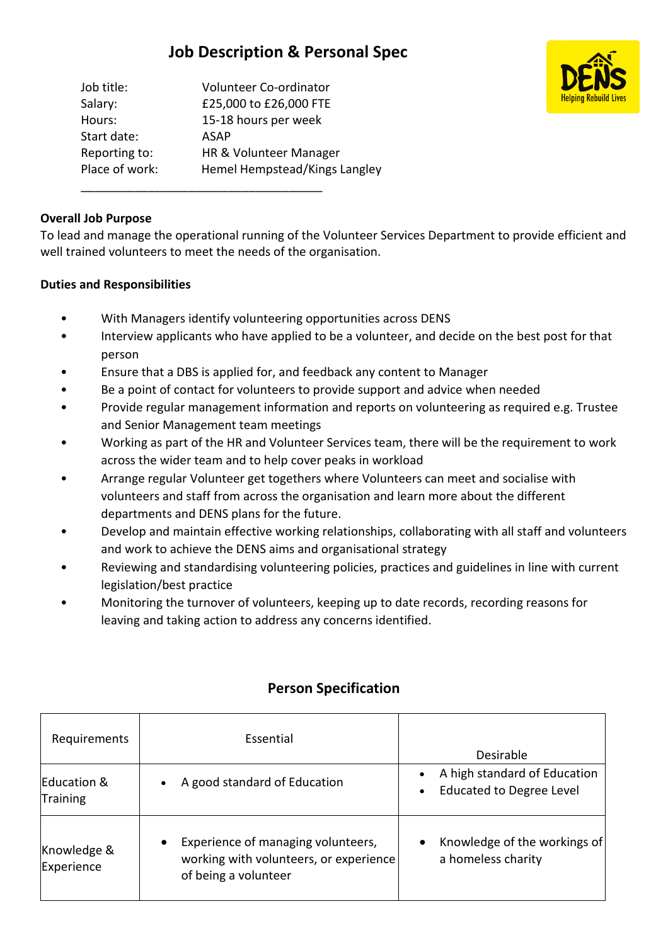# **Job Description & Personal Spec**

| Job title:     | Volunteer Co-ordinator        |
|----------------|-------------------------------|
| Salary:        | £25,000 to £26,000 FTE        |
| Hours:         | 15-18 hours per week          |
| Start date:    | <b>ASAP</b>                   |
| Reporting to:  | HR & Volunteer Manager        |
| Place of work: | Hemel Hempstead/Kings Langley |

\_\_\_\_\_\_\_\_\_\_\_\_\_\_\_\_\_\_\_\_\_\_\_\_\_\_\_\_\_\_\_\_\_\_\_\_



#### **Overall Job Purpose**

To lead and manage the operational running of the Volunteer Services Department to provide efficient and well trained volunteers to meet the needs of the organisation.

#### **Duties and Responsibilities**

- With Managers identify volunteering opportunities across DENS
- Interview applicants who have applied to be a volunteer, and decide on the best post for that person
- Ensure that a DBS is applied for, and feedback any content to Manager
- Be a point of contact for volunteers to provide support and advice when needed
- Provide regular management information and reports on volunteering as required e.g. Trustee and Senior Management team meetings
- Working as part of the HR and Volunteer Services team, there will be the requirement to work across the wider team and to help cover peaks in workload
- Arrange regular Volunteer get togethers where Volunteers can meet and socialise with volunteers and staff from across the organisation and learn more about the different departments and DENS plans for the future.
- Develop and maintain effective working relationships, collaborating with all staff and volunteers and work to achieve the DENS aims and organisational strategy
- Reviewing and standardising volunteering policies, practices and guidelines in line with current legislation/best practice
- Monitoring the turnover of volunteers, keeping up to date records, recording reasons for leaving and taking action to address any concerns identified.

| Requirements                   | Essential                                                                                                         | Desirable                                                                    |
|--------------------------------|-------------------------------------------------------------------------------------------------------------------|------------------------------------------------------------------------------|
| Education &<br><b>Training</b> | A good standard of Education<br>$\bullet$                                                                         | A high standard of Education<br><b>Educated to Degree Level</b><br>$\bullet$ |
| Knowledge &<br>Experience      | Experience of managing volunteers,<br>$\bullet$<br>working with volunteers, or experience<br>of being a volunteer | Knowledge of the workings of<br>$\bullet$<br>a homeless charity              |

## **Person Specification**